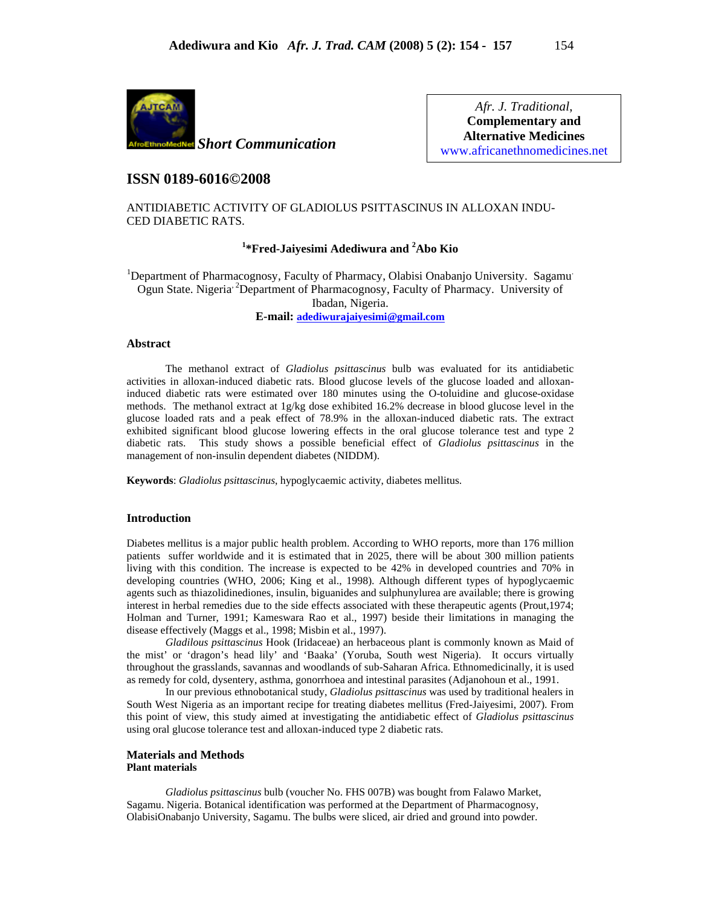

*Afr. J. Traditional*, **Complementary and Alternative Medicines**  www.africanethnomedicines.net

## **ISSN 0189-6016©2008**

ANTIDIABETIC ACTIVITY OF GLADIOLUS PSITTASCINUS IN ALLOXAN INDU-CED DIABETIC RATS.

# **1 \*Fred-Jaiyesimi Adediwura and <sup>2</sup> Abo Kio**

<sup>1</sup>Department of Pharmacognosy, Faculty of Pharmacy, Olabisi Onabanjo University. Sagamu Ogun State. Nigeria<sup>2</sup> Department of Pharmacognosy, Faculty of Pharmacy. University of Ibadan, Nigeria.

**E-mail: adediwurajaiyesimi@gmail.com**

### **Abstract**

The methanol extract of *Gladiolus psittascinus* bulb was evaluated for its antidiabetic activities in alloxan-induced diabetic rats. Blood glucose levels of the glucose loaded and alloxaninduced diabetic rats were estimated over 180 minutes using the O-toluidine and glucose-oxidase methods. The methanol extract at 1g/kg dose exhibited 16.2% decrease in blood glucose level in the glucose loaded rats and a peak effect of 78.9% in the alloxan-induced diabetic rats. The extract exhibited significant blood glucose lowering effects in the oral glucose tolerance test and type 2 diabetic rats. This study shows a possible beneficial effect of *Gladiolus psittascinus* in the management of non-insulin dependent diabetes (NIDDM).

**Keywords**: *Gladiolus psittascinus*, hypoglycaemic activity, diabetes mellitus.

### **Introduction**

Diabetes mellitus is a major public health problem. According to WHO reports, more than 176 million patients suffer worldwide and it is estimated that in 2025, there will be about 300 million patients living with this condition. The increase is expected to be 42% in developed countries and 70% in developing countries (WHO, 2006; King et al., 1998). Although different types of hypoglycaemic agents such as thiazolidinediones, insulin, biguanides and sulphunylurea are available; there is growing interest in herbal remedies due to the side effects associated with these therapeutic agents (Prout, 1974; Holman and Turner, 1991; Kameswara Rao et al., 1997) beside their limitations in managing the disease effectively (Maggs et al., 1998; Misbin et al., 1997).

 *Gladilous psittascinus* Hook (Iridaceae) an herbaceous plant is commonly known as Maid of the mist' or 'dragon's head lily' and 'Baaka' (Yoruba, South west Nigeria). It occurs virtually throughout the grasslands, savannas and woodlands of sub-Saharan Africa. Ethnomedicinally, it is used as remedy for cold, dysentery, asthma, gonorrhoea and intestinal parasites (Adjanohoun et al., 1991.

In our previous ethnobotanical study, *Gladiolus psittascinus* was used by traditional healers in South West Nigeria as an important recipe for treating diabetes mellitus (Fred-Jaiyesimi, 2007). From this point of view, this study aimed at investigating the antidiabetic effect of *Gladiolus psittascinus* using oral glucose tolerance test and alloxan-induced type 2 diabetic rats.

### **Materials and Methods Plant materials**

*Gladiolus psittascinus* bulb (voucher No. FHS 007B) was bought from Falawo Market, Sagamu. Nigeria. Botanical identification was performed at the Department of Pharmacognosy, OlabisiOnabanjo University, Sagamu. The bulbs were sliced, air dried and ground into powder.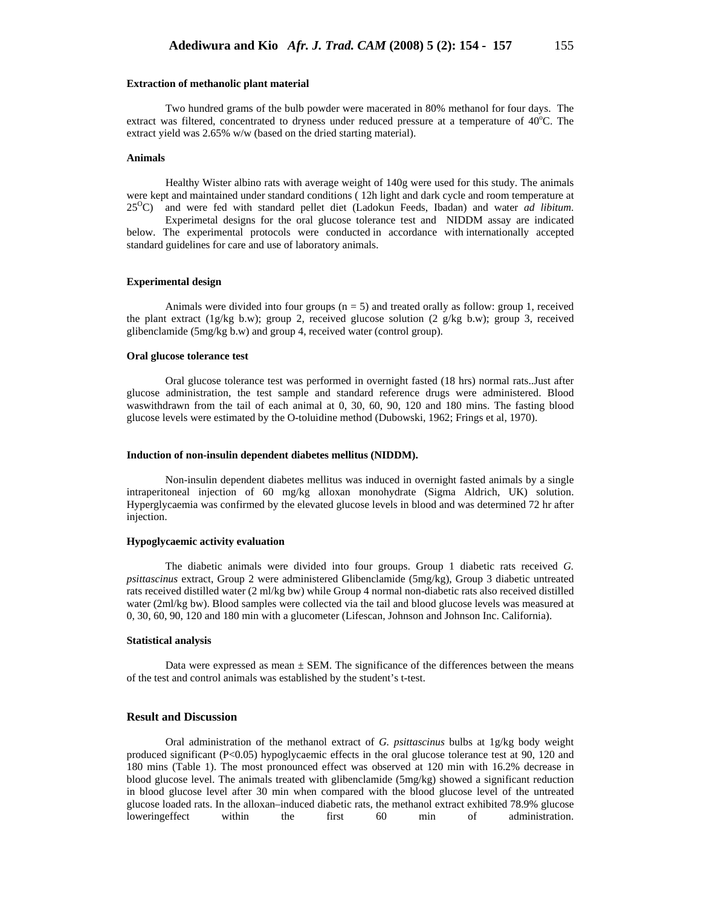#### **Extraction of methanolic plant material**

Two hundred grams of the bulb powder were macerated in 80% methanol for four days. The extract was filtered, concentrated to dryness under reduced pressure at a temperature of 40°C. The extract yield was 2.65% w/w (based on the dried starting material).

### **Animals**

Healthy Wister albino rats with average weight of 140g were used for this study. The animals were kept and maintained under standard conditions ( 12h light and dark cycle and room temperature at 25OC) and were fed with standard pellet diet (Ladokun Feeds, Ibadan) and water *ad libitum*.

Experimetal designs for the oral glucose tolerance test and NIDDM assay are indicated below. The experimental protocols were conducted in accordance with internationally accepted standard guidelines for care and use of laboratory animals.

### **Experimental design**

Animals were divided into four groups  $(n = 5)$  and treated orally as follow: group 1, received the plant extract (1g/kg b.w); group 2, received glucose solution (2 g/kg b.w); group 3, received glibenclamide (5mg/kg b.w) and group 4, received water (control group).

#### **Oral glucose tolerance test**

Oral glucose tolerance test was performed in overnight fasted (18 hrs) normal rats..Just after glucose administration, the test sample and standard reference drugs were administered. Blood waswithdrawn from the tail of each animal at 0, 30, 60, 90, 120 and 180 mins. The fasting blood glucose levels were estimated by the O-toluidine method (Dubowski, 1962; Frings et al, 1970).

#### **Induction of non-insulin dependent diabetes mellitus (NIDDM).**

Non-insulin dependent diabetes mellitus was induced in overnight fasted animals by a single intraperitoneal injection of 60 mg/kg alloxan monohydrate (Sigma Aldrich, UK) solution. Hyperglycaemia was confirmed by the elevated glucose levels in blood and was determined 72 hr after injection.

#### **Hypoglycaemic activity evaluation**

The diabetic animals were divided into four groups. Group 1 diabetic rats received *G. psittascinus* extract, Group 2 were administered Glibenclamide (5mg/kg), Group 3 diabetic untreated rats received distilled water (2 ml/kg bw) while Group 4 normal non-diabetic rats also received distilled water (2ml/kg bw). Blood samples were collected via the tail and blood glucose levels was measured at 0, 30, 60, 90, 120 and 180 min with a glucometer (Lifescan, Johnson and Johnson Inc. California).

### **Statistical analysis**

Data were expressed as mean  $\pm$  SEM. The significance of the differences between the means of the test and control animals was established by the student's t-test.

### **Result and Discussion**

Oral administration of the methanol extract of *G. psittascinus* bulbs at 1g/kg body weight produced significant (P<0.05) hypoglycaemic effects in the oral glucose tolerance test at 90, 120 and 180 mins (Table 1). The most pronounced effect was observed at 120 min with 16.2% decrease in blood glucose level. The animals treated with glibenclamide (5mg/kg) showed a significant reduction in blood glucose level after 30 min when compared with the blood glucose level of the untreated glucose loaded rats. In the alloxan–induced diabetic rats, the methanol extract exhibited 78.9% glucose loweringeffect within the first 60 min of administration.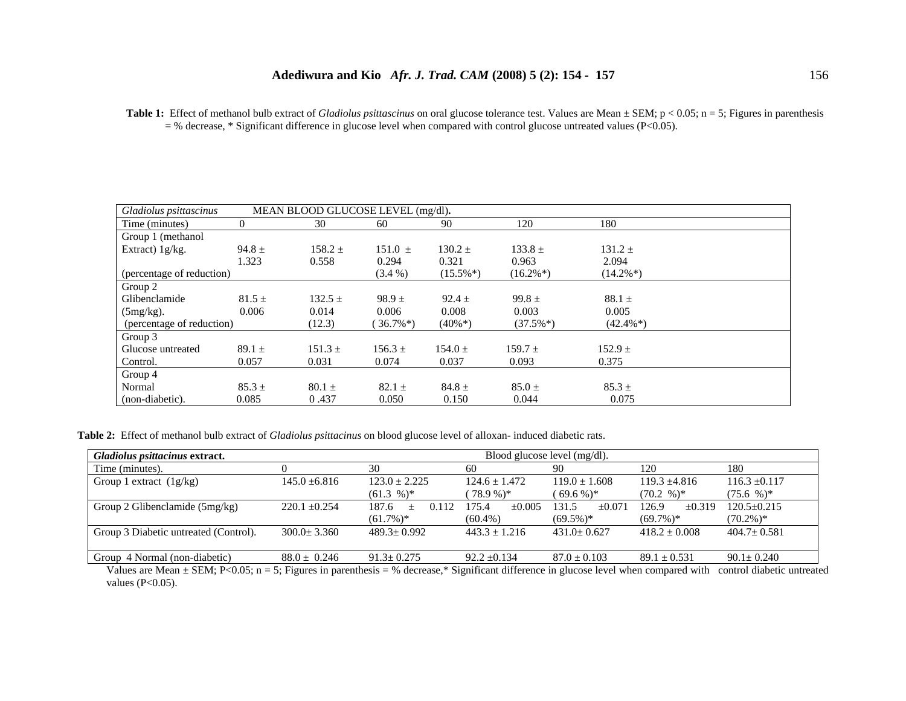Table 1: Effect of methanol bulb extract of *Gladiolus psittascinus* on oral glucose tolerance test. Values are Mean  $\pm$  SEM; p < 0.05; n = 5; Figures in parenthesis  $=$  % decrease, \* Significant difference in glucose level when compared with control glucose untreated values (P<0.05).

| MEAN BLOOD GLUCOSE LEVEL (mg/dl).<br>Gladiolus psittascinus |            |             |                         |             |             |             |  |  |
|-------------------------------------------------------------|------------|-------------|-------------------------|-------------|-------------|-------------|--|--|
| Time (minutes)                                              | 0          | 30          | 60                      | 90          | 120         | 180         |  |  |
| Group 1 (methanol                                           |            |             |                         |             |             |             |  |  |
| Extract) $1g/kg$ .                                          | $94.8 \pm$ | $158.2 \pm$ | $151.0 \pm$             | $130.2 \pm$ | $133.8 \pm$ | $131.2 \pm$ |  |  |
|                                                             | 1.323      | 0.558       | 0.294                   | 0.321       | 0.963       | 2.094       |  |  |
| (percentage of reduction)                                   |            |             | $(3.4\%)$               | $(15.5\%*)$ | $(16.2\%*)$ | $(14.2\%*)$ |  |  |
| Group 2                                                     |            |             |                         |             |             |             |  |  |
| Glibenclamide                                               | $81.5 \pm$ | $132.5 \pm$ | $98.9 \pm$              | $92.4 \pm$  | $99.8 \pm$  | $88.1 \pm$  |  |  |
| $(5mg/kg)$ .                                                | 0.006      | 0.014       | 0.006                   | 0.008       | 0.003       | 0.005       |  |  |
| (percentage of reduction)                                   |            | (12.3)      | $36.7\%$ <sup>*</sup> ) | $(40\%*)$   | $(37.5\%*)$ | $(42.4\%*)$ |  |  |
| Group 3                                                     |            |             |                         |             |             |             |  |  |
| Glucose untreated                                           | $89.1 \pm$ | $151.3 \pm$ | $156.3 \pm$             | $154.0 \pm$ | $159.7 +$   | $152.9 \pm$ |  |  |
| Control.                                                    | 0.057      | 0.031       | 0.074                   | 0.037       | 0.093       | 0.375       |  |  |
| Group 4                                                     |            |             |                         |             |             |             |  |  |
| Normal                                                      | $85.3 \pm$ | $80.1 \pm$  | $82.1 \pm$              | $84.8 \pm$  | $85.0 \pm$  | $85.3 \pm$  |  |  |
| (non-diabetic).                                             | 0.085      | 0.437       | 0.050                   | 0.150       | 0.044       | 0.075       |  |  |

**Table 2:** Effect of methanol bulb extract of *Gladiolus psittacinus* on blood glucose level of alloxan- induced diabetic rats.

| Gladiolus psittacinus extract.        |                   | Blood glucose level (mg/dl). |                      |                   |                      |                   |  |  |
|---------------------------------------|-------------------|------------------------------|----------------------|-------------------|----------------------|-------------------|--|--|
| Time (minutes).                       | 30                |                              | 60                   | 90                | 120                  | 180               |  |  |
| Group 1 extract $(1g/kg)$             | $145.0 + 6.816$   | $123.0 \pm 2.225$            | $124.6 \pm 1.472$    | $119.0 \pm 1.608$ | $119.3 + 4.816$      | $116.3 + 0.117$   |  |  |
|                                       |                   | $(61.3 \%)^*$                | $(78.9\%)*$          | $(69.6\%)*$       | $(70.2 \, \%)^*$     | $(75.6 \%)*$      |  |  |
| Group 2 Glibenclamide (5mg/kg)        | $220.1 \pm 0.254$ | 187.6<br>0.112<br>$+$        | $\pm 0.005$<br>175.4 | 131.5<br>$+0.071$ | 126.9<br>$\pm 0.319$ | $120.5 \pm 0.215$ |  |  |
|                                       |                   | $(61.7\%)*$                  | $(60.4\%)$           | $(69.5\%)*$       | $(69.7\%)*$          | $(70.2\%)*$       |  |  |
| Group 3 Diabetic untreated (Control). | $300.0 + 3.360$   | $489.3 \pm 0.992$            | $443.3 \pm 1.216$    | $431.0 \pm 0.627$ | $418.2 \pm 0.008$    | $404.7 \pm 0.581$ |  |  |
|                                       |                   |                              |                      |                   |                      |                   |  |  |
| Group 4 Normal (non-diabetic)         | $88.0 \pm 0.246$  | $91.3 \pm 0.275$             | $92.2 \pm 0.134$     | $87.0 \pm 0.103$  | $89.1 \pm 0.531$     | $90.1 \pm 0.240$  |  |  |

Values are Mean  $\pm$  SEM; P<0.05; n = 5; Figures in parenthesis = % decrease,\* Significant difference in glucose level when compared with control diabetic untreated values ( $P<0.05$ ).